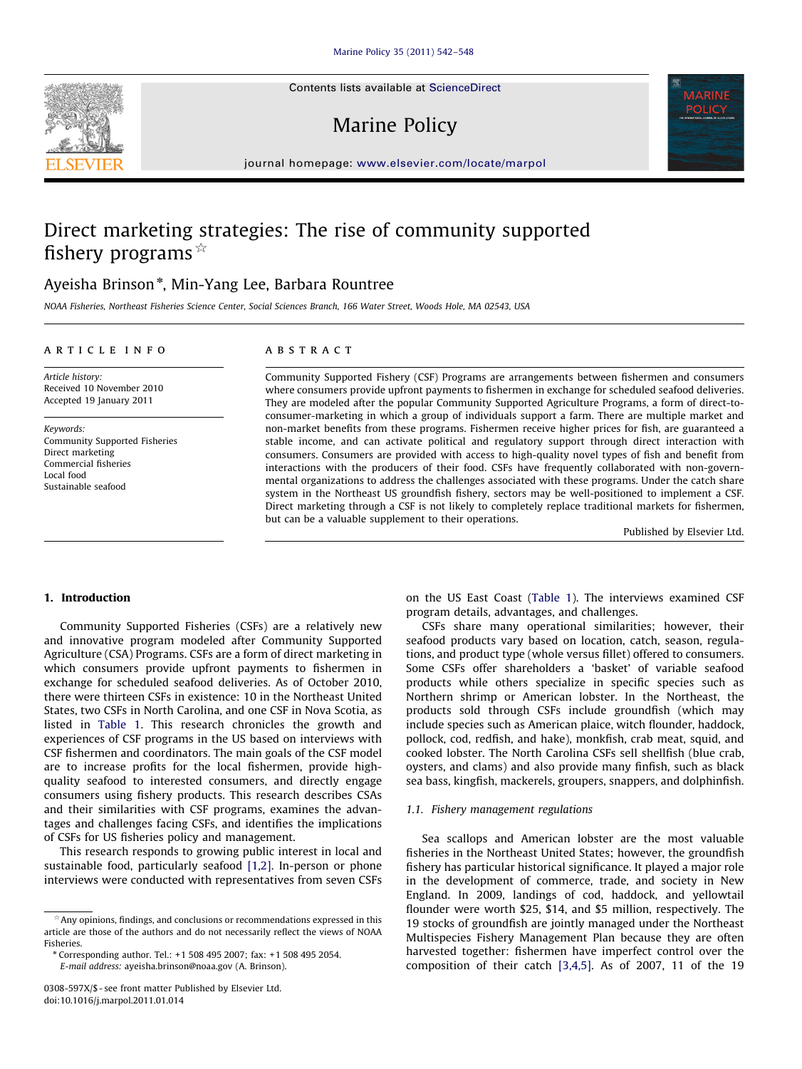Contents lists available at ScienceDirect

# Marine Policy



journal homepage: <www.elsevier.com/locate/marpol>

# Direct marketing strategies: The rise of community supported fishery programs  $*$

### Ayeisha Brinson\*, Min-Yang Lee, Barbara Rountree

NOAA Fisheries, Northeast Fisheries Science Center, Social Sciences Branch, 166 Water Street, Woods Hole, MA 02543, USA

#### article info

**ABSTRACT** 

Article history: Received 10 November 2010 Accepted 19 January 2011

Keywords: Community Supported Fisheries Direct marketing Commercial fisheries Local food Sustainable seafood

Community Supported Fishery (CSF) Programs are arrangements between fishermen and consumers where consumers provide upfront payments to fishermen in exchange for scheduled seafood deliveries. They are modeled after the popular Community Supported Agriculture Programs, a form of direct-toconsumer-marketing in which a group of individuals support a farm. There are multiple market and non-market benefits from these programs. Fishermen receive higher prices for fish, are guaranteed a stable income, and can activate political and regulatory support through direct interaction with consumers. Consumers are provided with access to high-quality novel types of fish and benefit from interactions with the producers of their food. CSFs have frequently collaborated with non-governmental organizations to address the challenges associated with these programs. Under the catch share system in the Northeast US groundfish fishery, sectors may be well-positioned to implement a CSF. Direct marketing through a CSF is not likely to completely replace traditional markets for fishermen, but can be a valuable supplement to their operations.

Published by Elsevier Ltd.

#### 1. Introduction

Community Supported Fisheries (CSFs) are a relatively new and innovative program modeled after Community Supported Agriculture (CSA) Programs. CSFs are a form of direct marketing in which consumers provide upfront payments to fishermen in exchange for scheduled seafood deliveries. As of October 2010, there were thirteen CSFs in existence: 10 in the Northeast United States, two CSFs in North Carolina, and one CSF in Nova Scotia, as listed in [Table 1.](#page-1-0) This research chronicles the growth and experiences of CSF programs in the US based on interviews with CSF fishermen and coordinators. The main goals of the CSF model are to increase profits for the local fishermen, provide highquality seafood to interested consumers, and directly engage consumers using fishery products. This research describes CSAs and their similarities with CSF programs, examines the advantages and challenges facing CSFs, and identifies the implications of CSFs for US fisheries policy and management.

This research responds to growing public interest in local and sustainable food, particularly seafood [\[1,2\]](#page--1-0). In-person or phone interviews were conducted with representatives from seven CSFs on the US East Coast [\(Table 1](#page-1-0)). The interviews examined CSF program details, advantages, and challenges.

CSFs share many operational similarities; however, their seafood products vary based on location, catch, season, regulations, and product type (whole versus fillet) offered to consumers. Some CSFs offer shareholders a 'basket' of variable seafood products while others specialize in specific species such as Northern shrimp or American lobster. In the Northeast, the products sold through CSFs include groundfish (which may include species such as American plaice, witch flounder, haddock, pollock, cod, redfish, and hake), monkfish, crab meat, squid, and cooked lobster. The North Carolina CSFs sell shellfish (blue crab, oysters, and clams) and also provide many finfish, such as black sea bass, kingfish, mackerels, groupers, snappers, and dolphinfish.

#### 1.1. Fishery management regulations

Sea scallops and American lobster are the most valuable fisheries in the Northeast United States; however, the groundfish fishery has particular historical significance. It played a major role in the development of commerce, trade, and society in New England. In 2009, landings of cod, haddock, and yellowtail flounder were worth \$25, \$14, and \$5 million, respectively. The 19 stocks of groundfish are jointly managed under the Northeast Multispecies Fishery Management Plan because they are often harvested together: fishermen have imperfect control over the composition of their catch [\[3,4,5\]](#page--1-0). As of 2007, 11 of the 19



Any opinions, findings, and conclusions or recommendations expressed in this article are those of the authors and do not necessarily reflect the views of NOAA Fisheries.

<sup>n</sup> Corresponding author. Tel.: +1 508 495 2007; fax: +1 508 495 2054. E-mail address: [ayeisha.brinson@noaa.gov \(A. Brinson\)](mailto:ayeisha.brinson@noaa.gov).

<sup>0308-597</sup>X/\$ - see front matter Published by Elsevier Ltd. doi:[10.1016/j.marpol.2011.01.014](dx.doi.org/10.1016/j.marpol.2011.01.014)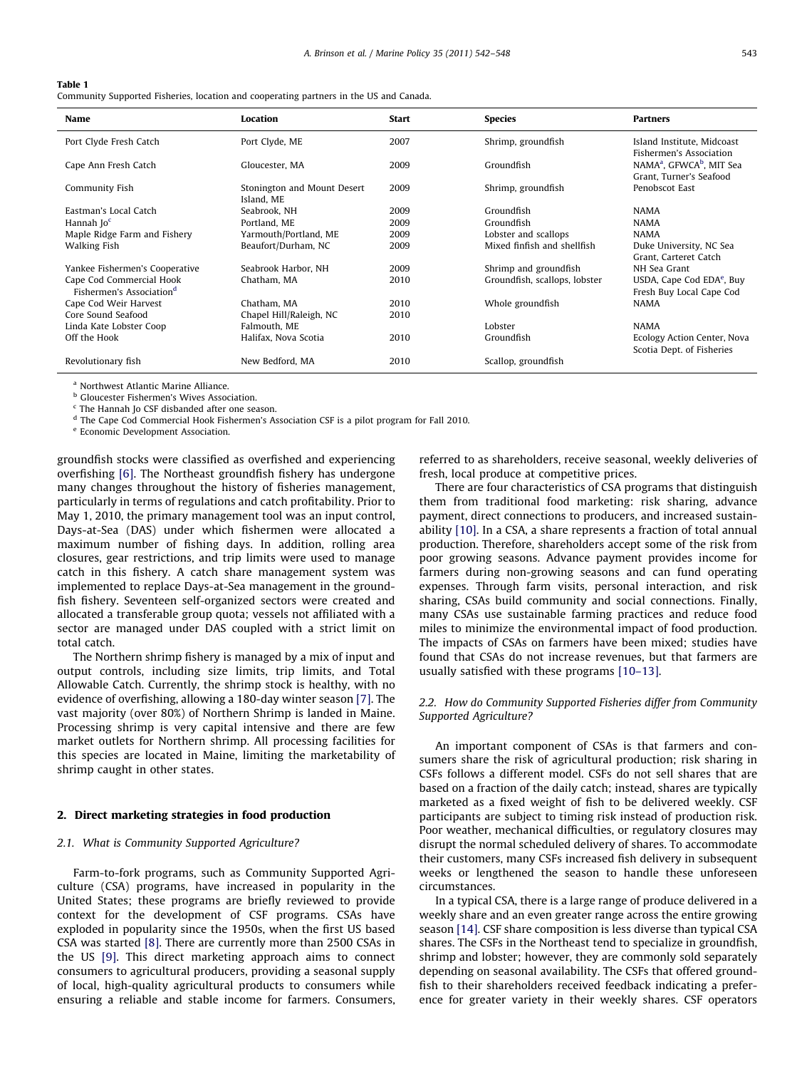#### <span id="page-1-0"></span>Table 1

Community Supported Fisheries, location and cooperating partners in the US and Canada.

| <b>Name</b>                                                      | Location                                  | <b>Start</b> | <b>Species</b>                | <b>Partners</b>                                                             |
|------------------------------------------------------------------|-------------------------------------------|--------------|-------------------------------|-----------------------------------------------------------------------------|
| Port Clyde Fresh Catch                                           | Port Clyde, ME                            | 2007         | Shrimp, groundfish            | Island Institute, Midcoast<br>Fishermen's Association                       |
| Cape Ann Fresh Catch                                             | Gloucester, MA                            | 2009         | Groundfish                    | NAMA <sup>a</sup> , GFWCA <sup>b</sup> , MIT Sea<br>Grant. Turner's Seafood |
| Community Fish                                                   | Stonington and Mount Desert<br>Island, ME | 2009         | Shrimp, groundfish            | Penobscot East                                                              |
| Eastman's Local Catch                                            | Seabrook, NH                              | 2009         | Groundfish                    | <b>NAMA</b>                                                                 |
| Hannah Joc                                                       | Portland, ME                              | 2009         | Groundfish                    | <b>NAMA</b>                                                                 |
| Maple Ridge Farm and Fishery                                     | Yarmouth/Portland, ME                     | 2009         | Lobster and scallops          | <b>NAMA</b>                                                                 |
| Walking Fish                                                     | Beaufort/Durham, NC                       | 2009         | Mixed finfish and shellfish   | Duke University, NC Sea<br>Grant, Carteret Catch                            |
| Yankee Fishermen's Cooperative                                   | Seabrook Harbor, NH                       | 2009         | Shrimp and groundfish         | NH Sea Grant                                                                |
| Cape Cod Commercial Hook<br>Fishermen's Association <sup>d</sup> | Chatham, MA                               | 2010         | Groundfish, scallops, lobster | USDA, Cape Cod EDA <sup>e</sup> , Buy<br>Fresh Buy Local Cape Cod           |
| Cape Cod Weir Harvest                                            | Chatham, MA                               | 2010         | Whole groundfish              | <b>NAMA</b>                                                                 |
| Core Sound Seafood                                               | Chapel Hill/Raleigh, NC                   | 2010         |                               |                                                                             |
| Linda Kate Lobster Coop                                          | Falmouth, ME                              |              | Lobster                       | <b>NAMA</b>                                                                 |
| Off the Hook                                                     | Halifax, Nova Scotia                      | 2010         | Groundfish                    | Ecology Action Center, Nova<br>Scotia Dept. of Fisheries                    |
| Revolutionary fish                                               | New Bedford, MA                           | 2010         | Scallop, groundfish           |                                                                             |

<sup>a</sup> Northwest Atlantic Marine Alliance

**b** Gloucester Fishermen's Wives Association.

<sup>c</sup> The Hannah Jo CSF disbanded after one season.

<sup>d</sup> The Cape Cod Commercial Hook Fishermen's Association CSF is a pilot program for Fall 2010.

<sup>e</sup> Economic Development Association.

groundfish stocks were classified as overfished and experiencing overfishing [\[6\]](#page--1-0). The Northeast groundfish fishery has undergone many changes throughout the history of fisheries management, particularly in terms of regulations and catch profitability. Prior to May 1, 2010, the primary management tool was an input control, Days-at-Sea (DAS) under which fishermen were allocated a maximum number of fishing days. In addition, rolling area closures, gear restrictions, and trip limits were used to manage catch in this fishery. A catch share management system was implemented to replace Days-at-Sea management in the groundfish fishery. Seventeen self-organized sectors were created and allocated a transferable group quota; vessels not affiliated with a sector are managed under DAS coupled with a strict limit on total catch.

The Northern shrimp fishery is managed by a mix of input and output controls, including size limits, trip limits, and Total Allowable Catch. Currently, the shrimp stock is healthy, with no evidence of overfishing, allowing a 180-day winter season [\[7\].](#page--1-0) The vast majority (over 80%) of Northern Shrimp is landed in Maine. Processing shrimp is very capital intensive and there are few market outlets for Northern shrimp. All processing facilities for this species are located in Maine, limiting the marketability of shrimp caught in other states.

#### 2. Direct marketing strategies in food production

#### 2.1. What is Community Supported Agriculture?

Farm-to-fork programs, such as Community Supported Agriculture (CSA) programs, have increased in popularity in the United States; these programs are briefly reviewed to provide context for the development of CSF programs. CSAs have exploded in popularity since the 1950s, when the first US based CSA was started [\[8\]](#page--1-0). There are currently more than 2500 CSAs in the US [\[9\]](#page--1-0). This direct marketing approach aims to connect consumers to agricultural producers, providing a seasonal supply of local, high-quality agricultural products to consumers while ensuring a reliable and stable income for farmers. Consumers, referred to as shareholders, receive seasonal, weekly deliveries of fresh, local produce at competitive prices.

There are four characteristics of CSA programs that distinguish them from traditional food marketing: risk sharing, advance payment, direct connections to producers, and increased sustainability [\[10\].](#page--1-0) In a CSA, a share represents a fraction of total annual production. Therefore, shareholders accept some of the risk from poor growing seasons. Advance payment provides income for farmers during non-growing seasons and can fund operating expenses. Through farm visits, personal interaction, and risk sharing, CSAs build community and social connections. Finally, many CSAs use sustainable farming practices and reduce food miles to minimize the environmental impact of food production. The impacts of CSAs on farmers have been mixed; studies have found that CSAs do not increase revenues, but that farmers are usually satisfied with these programs [\[10–13\]](#page--1-0).

#### 2.2. How do Community Supported Fisheries differ from Community Supported Agriculture?

An important component of CSAs is that farmers and consumers share the risk of agricultural production; risk sharing in CSFs follows a different model. CSFs do not sell shares that are based on a fraction of the daily catch; instead, shares are typically marketed as a fixed weight of fish to be delivered weekly. CSF participants are subject to timing risk instead of production risk. Poor weather, mechanical difficulties, or regulatory closures may disrupt the normal scheduled delivery of shares. To accommodate their customers, many CSFs increased fish delivery in subsequent weeks or lengthened the season to handle these unforeseen circumstances.

In a typical CSA, there is a large range of produce delivered in a weekly share and an even greater range across the entire growing season [\[14\].](#page--1-0) CSF share composition is less diverse than typical CSA shares. The CSFs in the Northeast tend to specialize in groundfish, shrimp and lobster; however, they are commonly sold separately depending on seasonal availability. The CSFs that offered groundfish to their shareholders received feedback indicating a preference for greater variety in their weekly shares. CSF operators